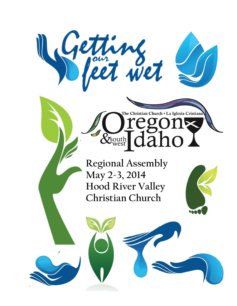

**Regional Assembly May 2-3, 2014 Hood River Valley Christian Church**

Xsouth

The Christian Church . La Iglesia Cristian

regons<br>[daho]

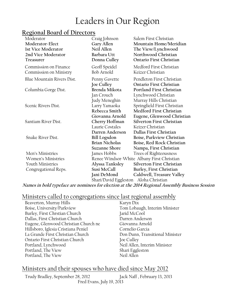# Leaders in Our Region

### **Regional Board of Directors**

| Moderator                  | Craig Johnson                              | Salem First Christian            |
|----------------------------|--------------------------------------------|----------------------------------|
| Moderator-Elect            | Gary Allen                                 | Mountain Home/Meridian           |
| <b>1st Vice Moderator</b>  | Neil Allen                                 | The View/Lynchwood               |
| 2nd Vice Moderator         | Barbara Utt                                | Northwood Christian              |
| <b>Treasurer</b>           | Donna Culley                               | Ontario First Christian          |
| Commission on Finance      | Geoff Speidel                              | Medford First Christian          |
| Commission on Ministry     | Bob Arnold                                 | Keizer Christian                 |
| Blue Mountain Rivers Dist. | Penny Gavette                              | Pendleton First Christian        |
|                            | <b>Joe Culley</b>                          | Ontario First Christian          |
| Columbia Gorge Dist.       | Brenda Mikota                              | Portland First Christian         |
|                            | Jan Crouch                                 | Lynchwood Christian              |
|                            | Judy Meneghin                              | Murray Hills Christian           |
| Scenic Rivers Dist.        | Larry Yamaoka                              | Springfield First Christian      |
|                            | Rebecca Smith                              | Medford First Christian          |
|                            | Giovanna Arnold                            | Eugene, Glenwood Christian       |
| Santiam River Dist.        | Cherry Hoffman                             | Silverton First Christian        |
|                            | Laurie Costales                            | Keizer Christian                 |
|                            | Darren Anderson                            | Dallas First Christian           |
| Snake River Dist.          | <b>Bill Logsdon</b>                        | Boise, Parkview Christian        |
|                            | <b>Brian Nicholas</b>                      | Boise, Red Rock Christian        |
|                            | <b>Suzanne Shore</b>                       | Nampa, First Christian           |
| Men's Ministries           | James Hobbs                                | Trees of Righteousness           |
| Women's Ministries         | Renee Windsor-White Albany First Christian |                                  |
| Youth Ministries           | Alyssa Tanksley                            | <b>Silverton First Christian</b> |
| Congregational Reps.       | Susi McCall                                | Burley, First Christian          |
|                            | Jani DeMond                                | Caldwell, Treasure Valley        |
|                            | Shari/David Eggleston Aloha Christian      |                                  |
|                            |                                            |                                  |

**Names in bold typeface are nominees for election at the 2014 Regional Assembly Business Session**

### Ministers called to congregations since last regional assembly

| Beaverton, Murray Hills              | Karyn Dix                       |
|--------------------------------------|---------------------------------|
| Boise, University/Parkview           | Tom Lobaugh, Interim Minister   |
| Burley, First Chrstian Church        | Jarid McCool                    |
| Dallas, First Christian Church       | Darren Anderson                 |
| Eugene, Glenwood Christian Church ne | Giovanna Arnold                 |
| Hillsboro, Iglesia Cristiana Peniel  | Cornelio Garcia                 |
| La Grande First Christian Church     | Don Dunn, Transitional Minister |
| Ontario First Christian Church       | Joe Culley                      |
| Portland, Lynchwood                  | Neil Allen, Interim Minister    |
| Portland, The View                   | Shari Eggleston                 |
| Portland, The View                   | Neil Allen                      |

### Ministers and their spouses who have died since May 2012

 Trudy Bradley, September 28, 2012 Jack Naff , February 13, 2013 Fred Evans, July 19, 2013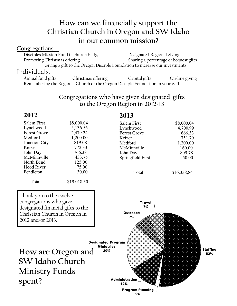## **How can we financially support the Christian Church in Oregon and SW Idaho in our common mission?**

#### Congregations:

Disciples Mission Fund in church budget Designated Regional giving Promoting Christmas offering Sharing a percentage of bequest gifts Giving a gift to the Oregon Disciple Foundation to increase our investments

#### Individuals:

Annual fund gifts Christmas offering Capital gifts On-line giving Remembering the Regional Church or the Oregon Disciple Foundation in your will

### **Congregations who have given designated gifts to the Oregon Region in 2012-13**

## **2012**

| Salem First         | \$8,000.04 |
|---------------------|------------|
| Lynchwood           | 5,136.56   |
| <b>Forest Grove</b> | 2,479.24   |
| Medford             | 1,200.00   |
| Junction City       | 819.08     |
| Keizer              | 772.33     |
| John Day            | 766.38     |
| McMinnville         | 433.75     |
| North Bend          | 125.00     |
| <b>Hood River</b>   | 75.00      |
| Pendleton           | 30.00      |
|                     |            |

Total \$19,018.30

### **2013**

| Salem First         | \$8,000.04 |
|---------------------|------------|
| Lynchwood           | 4,700.99   |
| <b>Forest Grove</b> | 666.33     |
| Keizer              | 751.70     |
| Medford             | 1,200.00   |
| McMinnville         | 160.00     |
| John Day            | 809.78     |
| Springfield First   | 50.00      |
|                     |            |

Total \$16,338,84

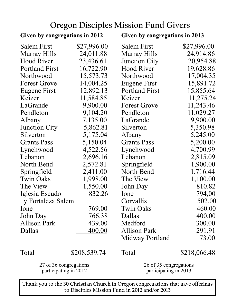# **Oregon Disciples Mission Fund Givers**

| Given by congregations in 2012                  |              | Given by congregations in 2013                  |              |  |
|-------------------------------------------------|--------------|-------------------------------------------------|--------------|--|
| <b>Salem First</b>                              | \$27,996.00  | <b>Salem First</b>                              | \$27,996.00  |  |
| Murray Hills                                    | 24,011.88    | Murray Hills                                    | 24,914.86    |  |
| <b>Hood River</b>                               | 23,436.61    | <b>Junction City</b>                            | 20,954.88    |  |
| <b>Portland First</b>                           | 16,722.90    | <b>Hood River</b>                               | 19,628.86    |  |
| Northwood                                       | 15,573.73    | Northwood                                       | 17,004.35    |  |
| <b>Forest Grove</b>                             | 14,004.25    | Eugene First                                    | 15,891.72    |  |
| Eugene First                                    | 12,892.13    | <b>Portland First</b>                           | 15,855.64    |  |
| Keizer                                          | 11,584.85    | Keizer                                          | 11,275.24    |  |
| LaGrande                                        | 9,900.00     | <b>Forest Grove</b>                             | 11,243.46    |  |
| Pendleton                                       | 9,104.20     | Pendleton                                       | 11,029.27    |  |
| Albany                                          | 7,135.00     | LaGrande                                        | 9,900.00     |  |
| <b>Junction City</b>                            | 5,862.81     | Silverton                                       | 5,350.98     |  |
| Silverton                                       | 5,175.04     | Albany                                          | 5,245.00     |  |
| <b>Grants Pass</b>                              | 5,150.04     | <b>Grants Pass</b>                              | 5,200.00     |  |
| Lynchwood                                       | 4,522.56     | Lynchwood                                       | 4,700.99     |  |
| Lebanon                                         | 2,696.16     | Lebanon                                         | 2,815.09     |  |
| North Bend                                      | 2,572.81     | Springfield                                     | 1,900.00     |  |
| Springfield                                     | 2,411.00     | North Bend                                      | 1,716.44     |  |
| <b>Twin Oaks</b>                                | 1,998.00     | The View                                        | 1,100.00     |  |
| The View                                        | 1,550.00     | John Day                                        | 810.82       |  |
| Iglesia Escudo                                  | 832.26       | Ione                                            | 794,00       |  |
| y Fortaleza Salem                               |              | Corvallis                                       | 502.00       |  |
| Ione                                            | 769.00       | <b>Twin Oaks</b>                                | 460.00       |  |
| John Day                                        | 766.38       | Dallas                                          | 400.00       |  |
| <b>Allison Park</b>                             | 439.00       | Medford                                         | 300.00       |  |
| Dallas                                          | 400.00       | <b>Allison Park</b>                             | 291.91       |  |
|                                                 |              | Midway Portland                                 | 73.00        |  |
| Total                                           | \$208,539.74 | Total                                           | \$218,066.48 |  |
| 27 of 36 congregations<br>participating in 2012 |              | 26 of 35 congregations<br>participating in 2013 |              |  |

**Thank you to the 30 Christian Church in Oregon congregations that gave offerings to Disciples Mission Fund in 2012 and/or 2013**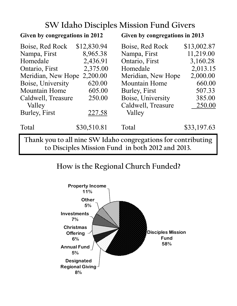# **SW Idaho Disciples Mission Fund Givers**

| Given by congregations in 2012                                                                                    |             | Given by congregations in 2013 |             |  |
|-------------------------------------------------------------------------------------------------------------------|-------------|--------------------------------|-------------|--|
| Boise, Red Rock                                                                                                   | \$12,830.94 | Boise, Red Rock                | \$13,002.87 |  |
| Nampa, First                                                                                                      | 8,965.38    | Nampa, First                   | 11,219.00   |  |
| Homedale                                                                                                          | 2,436.91    | Ontario, First                 | 3,160.28    |  |
| Ontario, First                                                                                                    | 2,375.00    | Homedale                       | 2,013.15    |  |
| Meridian, New Hope                                                                                                | 2,200.00    | Meridian, New Hope             | 2,000.00    |  |
| Boise, University                                                                                                 | 620.00      | <b>Mountain Home</b>           | 660.00      |  |
| <b>Mountain Home</b>                                                                                              | 605.00      | Burley, First                  | 507.33      |  |
| Caldwell, Treasure                                                                                                | 250.00      | Boise, University              | 385.00      |  |
| Valley                                                                                                            |             | Caldwell, Treasure             | 250.00      |  |
| Burley, First                                                                                                     | 227.58      | Valley                         |             |  |
| Total                                                                                                             | \$30,510.81 | Total                          | \$33,197.63 |  |
| Thank you to all nine SW Idaho congregations for contributing<br>to Disciples Mission Fund in both 2012 and 2013. |             |                                |             |  |

## **How is the Regional Church Funded?**

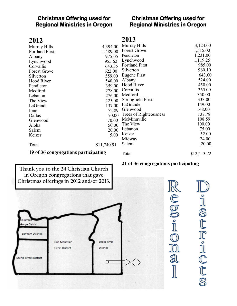#### **Christmas Offering used for Regional Ministries in Oregon**

#### **Christmas Offering used for Regional Ministries in Oregon**

| ۰ |
|---|
|---|

| ZUIZ                                 |             | 20 L.                  |             |
|--------------------------------------|-------------|------------------------|-------------|
| Murray Hills                         | 4,394.00    | Murray Hills           | 3,124.00    |
| Portland First                       | 1,489,00    | <b>Forest Grove</b>    | 1,515.00    |
| Albany                               | 975.05      | Pendleton              | 1,231.00    |
| Lynchwood                            | 955.62      | Lynchwood              | 1,119.25    |
| Corvallis                            | 643.35      | Portland First         | 985.00      |
| Forest Grove                         | 622.00      | Silverton              | 960.10      |
| Silverton                            | 559.00      | Eugene First           | 643.00      |
| Hood River                           | 540.00      | Albany                 | 524.00      |
| Pendleton                            | 359.00      | <b>Hood River</b>      | 450.00      |
| Medford                              | 278.00      | Corvallis              | 365.00      |
| Lebanon                              | 276.00      | Medford                | 350.00      |
| The View                             | 225.00      | Springfield First      | 333.00      |
| LaGrande                             | 137.00      | LaGrande               | 149.00      |
| Ione                                 | 72.89       | Glenwood               | 148.00      |
| Dallas                               | 70.00       | Trees of Righteousness | 137.78      |
| Glenwood                             | 70.00       | McMinnville            | 108.59      |
| Aloha                                | 50.00       | The View               | 100.00      |
| Salem                                | 20.00       | Lebanon                | 75.00       |
| Keizer                               | 5.00        | Keizer                 | 52.00       |
|                                      |             | Midway                 | 24.00       |
| Total                                | \$11,740.91 | Salem                  | 20.00       |
| 19 of 36 congregations participating |             | Total                  | \$12,413.72 |
|                                      |             |                        |             |

**2013**

#### **21 of 36 congregations participating**

De.000

IN

a

**Thank you to the 24 Christian Church in Oregon congregations that gave Christmas offerings in 2012 and/or 2013.**



U·ISEF·ICES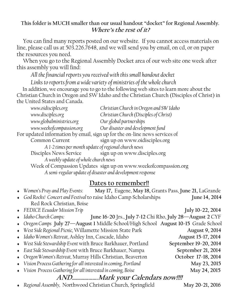### **This folder is MUCH smaller than our usual handout "docket" for Regional Assembly. Where's the rest of it?**

 You can find many reports posted on our website. If you cannot access materials on line, please call us at 503.226.7648, and we will send you by email, on cd, or on paper the resources you need.

 When you go to the Regional Assembly Docket area of our web site one week after this assembly you will find:

*All the financial reports you received with this small handout docket*

*Links to reports from a wide variety of ministries of the whole church*

 In addition, we encourage you to go to the following web sites to learn more about the Christian Church in Oregon and SW Idaho and the Christian Church (Disciples of Christ) in the United States and Canada.

| www.oidisciples.org                                                        | Christian Church in Oregon and SW Idaho                        |  |  |
|----------------------------------------------------------------------------|----------------------------------------------------------------|--|--|
| www.disciples.org                                                          | Christian Church (Disciples of Christ)                         |  |  |
| www.globalministries.org                                                   | Our global partnerships                                        |  |  |
| www.weekofcompassion.org                                                   | Our disaster and development fund                              |  |  |
| For updated information by email, sign up for the on-line news services of |                                                                |  |  |
| Common Current                                                             | sign up on www.oidisciples.org                                 |  |  |
| A 1-2 times per month update of regional church news                       |                                                                |  |  |
| Disciples News Service sign up on www.disciples.org                        |                                                                |  |  |
| A weekly update of whole church news                                       |                                                                |  |  |
|                                                                            | Week of Compassion Updates sign up on www.weekofcompassion.org |  |  |
| A semi-regular update of disaster and development response                 |                                                                |  |  |
|                                                                            |                                                                |  |  |

### **Dates to remember!!**

| $\bullet$ Women's Pray and Play Events:<br>May 17, Eugene, May 18, Grants Pass, June 21, LaGrande |                       |
|---------------------------------------------------------------------------------------------------|-----------------------|
| • God Rocks! Concert and Festival to raise Idaho Camp Scholarships                                | June 14, 2014         |
| Red Rock Christian, Boise                                                                         |                       |
| • FEDICE Ecuador Mission Trip                                                                     | July 10-22, 2014      |
| $\bullet$ Idaho Church Camps:<br>June 16-20 Jrs., July 7-12 Chi Rho, July 28-August 2 CYF         |                       |
| • Oregon Camps July 27-August 1 Middle School/High School August 10-15 Grade School               |                       |
| · West Side Regional Picnic, Willamette Mission State Park                                        | <b>August 9, 2014</b> |
| · Idaho Women's Retreat, Ashley Inn, Cascade, Idaho                                               | August 15-17, 2014    |
| • West Side Stewardship Event with Bruce Barkhauer, Portland                                      | September 19-20, 2014 |
|                                                                                                   |                       |

- East Side Stewardship Event with Bruce Barkhauer, Nampa **September 21, 2014**
- *Oregon Women's Retreat,* Murray Hills Christian, Beaverton **October 17-18, 2014**
- *Vision Process Gathering for all interested in coming, Portland* **May 23, 2015**
- **•** Vision Process Gathering for all interested in coming, Boise **May 24, 2015**

## **AND……………….Mark your Calendars now!!!!**

*Regional Assembly,* Northwood Christian Church, Springfield **May 20-21, 2016**